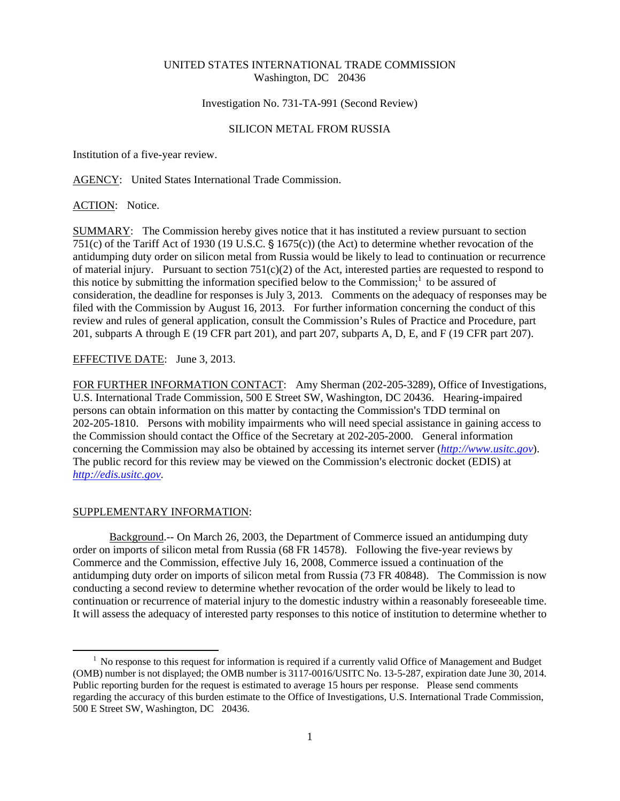## UNITED STATES INTERNATIONAL TRADE COMMISSION Washington, DC 20436

Investigation No. 731-TA-991 (Second Review)

## SILICON METAL FROM RUSSIA

Institution of a five-year review.

AGENCY: United States International Trade Commission.

ACTION: Notice.

SUMMARY: The Commission hereby gives notice that it has instituted a review pursuant to section 751(c) of the Tariff Act of 1930 (19 U.S.C.  $\S$  1675(c)) (the Act) to determine whether revocation of the antidumping duty order on silicon metal from Russia would be likely to lead to continuation or recurrence of material injury. Pursuant to section  $751(c)(2)$  of the Act, interested parties are requested to respond to this notice by submitting the information specified below to the Commission;<sup>1</sup> to be assured of consideration, the deadline for responses is July 3, 2013. Comments on the adequacy of responses may be filed with the Commission by August 16, 2013. For further information concerning the conduct of this review and rules of general application, consult the Commission's Rules of Practice and Procedure, part 201, subparts A through E (19 CFR part 201), and part 207, subparts A, D, E, and F (19 CFR part 207).

EFFECTIVE DATE: June 3, 2013.

FOR FURTHER INFORMATION CONTACT: Amy Sherman (202-205-3289), Office of Investigations, U.S. International Trade Commission, 500 E Street SW, Washington, DC 20436. Hearing-impaired persons can obtain information on this matter by contacting the Commission's TDD terminal on 202-205-1810. Persons with mobility impairments who will need special assistance in gaining access to the Commission should contact the Office of the Secretary at 202-205-2000. General information concerning the Commission may also be obtained by accessing its internet server (*http://www.usitc.gov*). The public record for this review may be viewed on the Commission's electronic docket (EDIS) at *http://edis.usitc.gov*.

## SUPPLEMENTARY INFORMATION:

 $\overline{a}$ 

Background.-- On March 26, 2003, the Department of Commerce issued an antidumping duty order on imports of silicon metal from Russia (68 FR 14578). Following the five-year reviews by Commerce and the Commission, effective July 16, 2008, Commerce issued a continuation of the antidumping duty order on imports of silicon metal from Russia (73 FR 40848). The Commission is now conducting a second review to determine whether revocation of the order would be likely to lead to continuation or recurrence of material injury to the domestic industry within a reasonably foreseeable time. It will assess the adequacy of interested party responses to this notice of institution to determine whether to

<sup>&</sup>lt;sup>1</sup> No response to this request for information is required if a currently valid Office of Management and Budget (OMB) number is not displayed; the OMB number is 3117-0016/USITC No. 13-5-287, expiration date June 30, 2014. Public reporting burden for the request is estimated to average 15 hours per response. Please send comments regarding the accuracy of this burden estimate to the Office of Investigations, U.S. International Trade Commission, 500 E Street SW, Washington, DC 20436.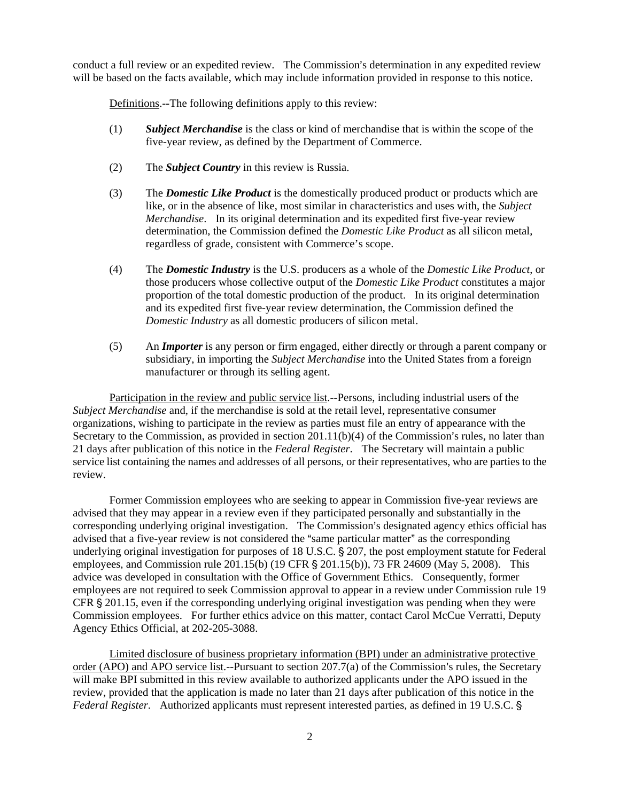conduct a full review or an expedited review. The Commission's determination in any expedited review will be based on the facts available, which may include information provided in response to this notice.

Definitions.--The following definitions apply to this review:

- (1) *Subject Merchandise* is the class or kind of merchandise that is within the scope of the five-year review, as defined by the Department of Commerce.
- (2) The *Subject Country* in this review is Russia.
- (3) The *Domestic Like Product* is the domestically produced product or products which are like, or in the absence of like, most similar in characteristics and uses with, the *Subject Merchandise*. In its original determination and its expedited first five-year review determination, the Commission defined the *Domestic Like Product* as all silicon metal, regardless of grade, consistent with Commerce's scope.
- (4) The *Domestic Industry* is the U.S. producers as a whole of the *Domestic Like Product*, or those producers whose collective output of the *Domestic Like Product* constitutes a major proportion of the total domestic production of the product. In its original determination and its expedited first five-year review determination, the Commission defined the *Domestic Industry* as all domestic producers of silicon metal.
- (5) An *Importer* is any person or firm engaged, either directly or through a parent company or subsidiary, in importing the *Subject Merchandise* into the United States from a foreign manufacturer or through its selling agent.

Participation in the review and public service list.--Persons, including industrial users of the *Subject Merchandise* and, if the merchandise is sold at the retail level, representative consumer organizations, wishing to participate in the review as parties must file an entry of appearance with the Secretary to the Commission, as provided in section  $201.11(b)(4)$  of the Commission's rules, no later than 21 days after publication of this notice in the *Federal Register*. The Secretary will maintain a public service list containing the names and addresses of all persons, or their representatives, who are parties to the review.

Former Commission employees who are seeking to appear in Commission five-year reviews are advised that they may appear in a review even if they participated personally and substantially in the corresponding underlying original investigation. The Commission's designated agency ethics official has advised that a five-year review is not considered the "same particular matter" as the corresponding underlying original investigation for purposes of 18 U.S.C. § 207, the post employment statute for Federal employees, and Commission rule 201.15(b) (19 CFR  $\S$  201.15(b)), 73 FR 24609 (May 5, 2008). This advice was developed in consultation with the Office of Government Ethics. Consequently, former employees are not required to seek Commission approval to appear in a review under Commission rule 19 CFR  $\S 201.15$ , even if the corresponding underlying original investigation was pending when they were Commission employees. For further ethics advice on this matter, contact Carol McCue Verratti, Deputy Agency Ethics Official, at 202-205-3088.

Limited disclosure of business proprietary information (BPI) under an administrative protective order (APO) and APO service list.--Pursuant to section  $207.7(a)$  of the Commission's rules, the Secretary will make BPI submitted in this review available to authorized applicants under the APO issued in the review, provided that the application is made no later than 21 days after publication of this notice in the *Federal Register.* Authorized applicants must represent interested parties, as defined in 19 U.S.C. §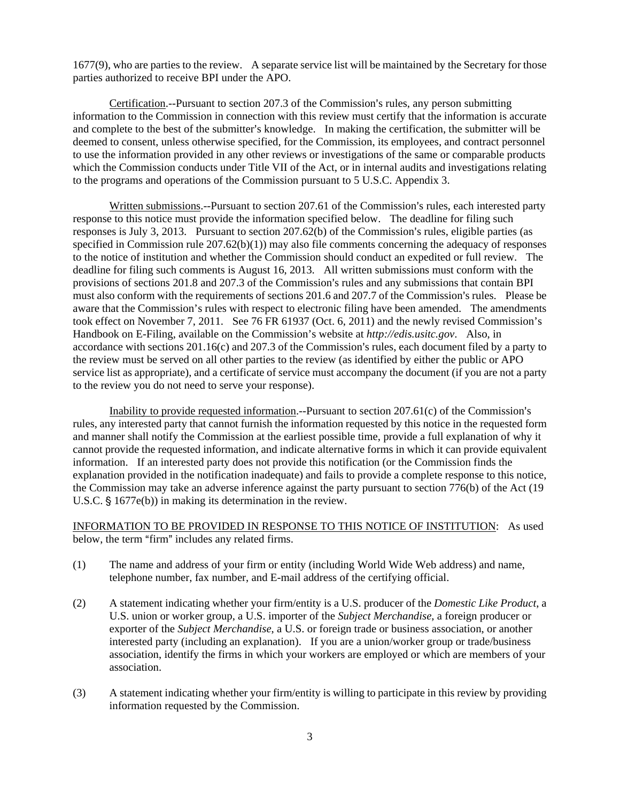1677(9), who are parties to the review. A separate service list will be maintained by the Secretary for those parties authorized to receive BPI under the APO.

Certification.--Pursuant to section 207.3 of the Commission's rules, any person submitting information to the Commission in connection with this review must certify that the information is accurate and complete to the best of the submitter's knowledge. In making the certification, the submitter will be deemed to consent, unless otherwise specified, for the Commission, its employees, and contract personnel to use the information provided in any other reviews or investigations of the same or comparable products which the Commission conducts under Title VII of the Act, or in internal audits and investigations relating to the programs and operations of the Commission pursuant to 5 U.S.C. Appendix 3.

Written submissions.--Pursuant to section 207.61 of the Commission's rules, each interested party response to this notice must provide the information specified below. The deadline for filing such responses is July 3, 2013. Pursuant to section  $207.62(b)$  of the Commission's rules, eligible parties (as specified in Commission rule 207.62(b)(1)) may also file comments concerning the adequacy of responses to the notice of institution and whether the Commission should conduct an expedited or full review. The deadline for filing such comments is August 16, 2013. All written submissions must conform with the provisions of sections 201.8 and 207.3 of the Commission's rules and any submissions that contain BPI must also conform with the requirements of sections 201.6 and 207.7 of the Commission's rules. Please be aware that the Commission's rules with respect to electronic filing have been amended. The amendments took effect on November 7, 2011. See 76 FR 61937 (Oct. 6, 2011) and the newly revised Commission's Handbook on E-Filing, available on the Commission's website at *http://edis.usitc.gov*. Also, in accordance with sections  $201.16(c)$  and  $207.3$  of the Commission's rules, each document filed by a party to the review must be served on all other parties to the review (as identified by either the public or APO service list as appropriate), and a certificate of service must accompany the document (if you are not a party to the review you do not need to serve your response).

Inability to provide requested information.--Pursuant to section  $207.61(c)$  of the Commission's rules, any interested party that cannot furnish the information requested by this notice in the requested form and manner shall notify the Commission at the earliest possible time, provide a full explanation of why it cannot provide the requested information, and indicate alternative forms in which it can provide equivalent information. If an interested party does not provide this notification (or the Commission finds the explanation provided in the notification inadequate) and fails to provide a complete response to this notice, the Commission may take an adverse inference against the party pursuant to section 776(b) of the Act (19 U.S.C.  $\S$  1677e(b)) in making its determination in the review.

INFORMATION TO BE PROVIDED IN RESPONSE TO THIS NOTICE OF INSTITUTION: As used below, the term "firm" includes any related firms.

- (1) The name and address of your firm or entity (including World Wide Web address) and name, telephone number, fax number, and E-mail address of the certifying official.
- (2) A statement indicating whether your firm/entity is a U.S. producer of the *Domestic Like Product*, a U.S. union or worker group, a U.S. importer of the *Subject Merchandise*, a foreign producer or exporter of the *Subject Merchandise*, a U.S. or foreign trade or business association, or another interested party (including an explanation). If you are a union/worker group or trade/business association, identify the firms in which your workers are employed or which are members of your association.
- (3) A statement indicating whether your firm/entity is willing to participate in this review by providing information requested by the Commission.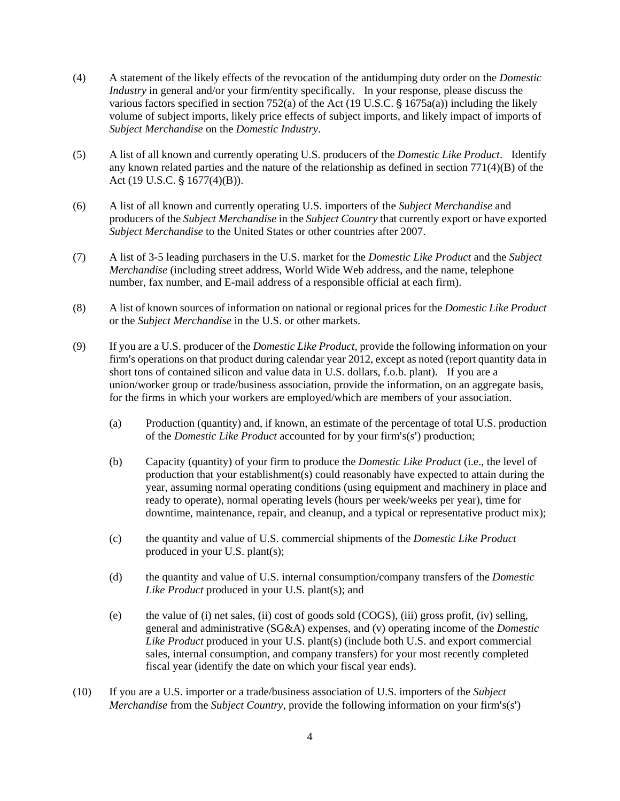- (4) A statement of the likely effects of the revocation of the antidumping duty order on the *Domestic Industry* in general and/or your firm/entity specifically. In your response, please discuss the various factors specified in section 752(a) of the Act (19 U.S.C.  $\S$  1675a(a)) including the likely volume of subject imports, likely price effects of subject imports, and likely impact of imports of *Subject Merchandise* on the *Domestic Industry*.
- (5) A list of all known and currently operating U.S. producers of the *Domestic Like Product*. Identify any known related parties and the nature of the relationship as defined in section 771(4)(B) of the Act (19 U.S.C.  $\frac{6}{5}$  1677(4)(B)).
- (6) A list of all known and currently operating U.S. importers of the *Subject Merchandise* and producers of the *Subject Merchandise* in the *Subject Country* that currently export or have exported *Subject Merchandise* to the United States or other countries after 2007.
- (7) A list of 3-5 leading purchasers in the U.S. market for the *Domestic Like Product* and the *Subject Merchandise* (including street address, World Wide Web address, and the name, telephone number, fax number, and E-mail address of a responsible official at each firm).
- (8) A list of known sources of information on national or regional prices for the *Domestic Like Product* or the *Subject Merchandise* in the U.S. or other markets.
- (9) If you are a U.S. producer of the *Domestic Like Product*, provide the following information on your firm's operations on that product during calendar year 2012, except as noted (report quantity data in short tons of contained silicon and value data in U.S. dollars, f.o.b. plant). If you are a union/worker group or trade/business association, provide the information, on an aggregate basis, for the firms in which your workers are employed/which are members of your association.
	- (a) Production (quantity) and, if known, an estimate of the percentage of total U.S. production of the *Domestic Like Product* accounted for by your firm's(s') production;
	- (b) Capacity (quantity) of your firm to produce the *Domestic Like Product* (i.e., the level of production that your establishment(s) could reasonably have expected to attain during the year, assuming normal operating conditions (using equipment and machinery in place and ready to operate), normal operating levels (hours per week/weeks per year), time for downtime, maintenance, repair, and cleanup, and a typical or representative product mix);
	- (c) the quantity and value of U.S. commercial shipments of the *Domestic Like Product* produced in your U.S. plant(s);
	- (d) the quantity and value of U.S. internal consumption/company transfers of the *Domestic Like Product* produced in your U.S. plant(s); and
	- (e) the value of (i) net sales, (ii) cost of goods sold (COGS), (iii) gross profit, (iv) selling, general and administrative (SG&A) expenses, and (v) operating income of the *Domestic Like Product* produced in your U.S. plant(s) (include both U.S. and export commercial sales, internal consumption, and company transfers) for your most recently completed fiscal year (identify the date on which your fiscal year ends).
- (10) If you are a U.S. importer or a trade/business association of U.S. importers of the *Subject Merchandise* from the *Subject Country*, provide the following information on your firm's(s')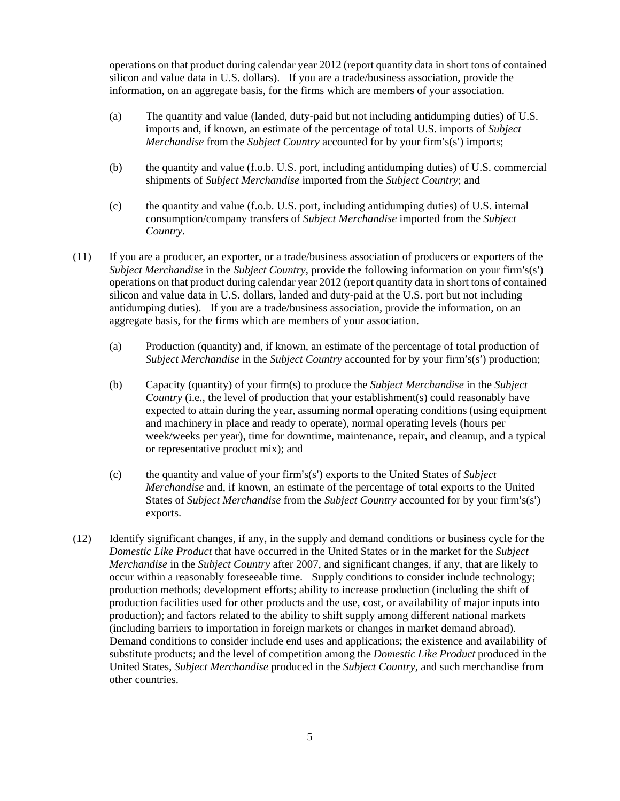operations on that product during calendar year 2012 (report quantity data in short tons of contained silicon and value data in U.S. dollars). If you are a trade/business association, provide the information, on an aggregate basis, for the firms which are members of your association.

- (a) The quantity and value (landed, duty-paid but not including antidumping duties) of U.S. imports and, if known, an estimate of the percentage of total U.S. imports of *Subject Merchandise* from the *Subject Country* accounted for by your firm's(s') imports;
- (b) the quantity and value (f.o.b. U.S. port, including antidumping duties) of U.S. commercial shipments of *Subject Merchandise* imported from the *Subject Country*; and
- (c) the quantity and value (f.o.b. U.S. port, including antidumping duties) of U.S. internal consumption/company transfers of *Subject Merchandise* imported from the *Subject Country*.
- (11) If you are a producer, an exporter, or a trade/business association of producers or exporters of the *Subject Merchandise* in the *Subject Country*, provide the following information on your firm's(s') operations on that product during calendar year 2012 (report quantity data in short tons of contained silicon and value data in U.S. dollars, landed and duty-paid at the U.S. port but not including antidumping duties). If you are a trade/business association, provide the information, on an aggregate basis, for the firms which are members of your association.
	- (a) Production (quantity) and, if known, an estimate of the percentage of total production of *Subject Merchandise* in the *Subject Country* accounted for by your firm's(s') production;
	- (b) Capacity (quantity) of your firm(s) to produce the *Subject Merchandise* in the *Subject Country* (i.e., the level of production that your establishment(s) could reasonably have expected to attain during the year, assuming normal operating conditions (using equipment and machinery in place and ready to operate), normal operating levels (hours per week/weeks per year), time for downtime, maintenance, repair, and cleanup, and a typical or representative product mix); and
	- (c) the quantity and value of your firm's(s') exports to the United States of *Subject Merchandise* and, if known, an estimate of the percentage of total exports to the United States of *Subject Merchandise* from the *Subject Country* accounted for by your firm's(s') exports.
- (12) Identify significant changes, if any, in the supply and demand conditions or business cycle for the *Domestic Like Product* that have occurred in the United States or in the market for the *Subject Merchandise* in the *Subject Country* after 2007, and significant changes, if any, that are likely to occur within a reasonably foreseeable time. Supply conditions to consider include technology; production methods; development efforts; ability to increase production (including the shift of production facilities used for other products and the use, cost, or availability of major inputs into production); and factors related to the ability to shift supply among different national markets (including barriers to importation in foreign markets or changes in market demand abroad). Demand conditions to consider include end uses and applications; the existence and availability of substitute products; and the level of competition among the *Domestic Like Product* produced in the United States, *Subject Merchandise* produced in the *Subject Country*, and such merchandise from other countries.